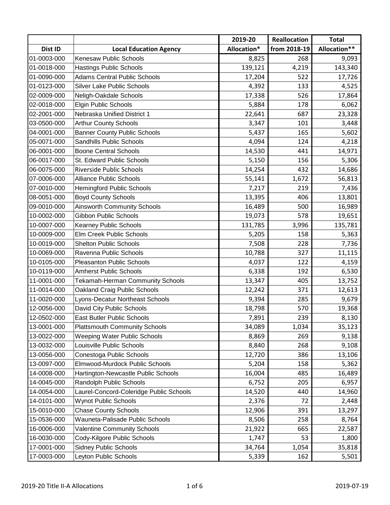|             |                                         | 2019-20     | Reallocation | <b>Total</b> |
|-------------|-----------------------------------------|-------------|--------------|--------------|
| Dist ID     | <b>Local Education Agency</b>           | Allocation* | from 2018-19 | Allocation** |
| 01-0003-000 | <b>Kenesaw Public Schools</b>           | 8,825       | 268          | 9,093        |
| 01-0018-000 | <b>Hastings Public Schools</b>          | 139,121     | 4,219        | 143,340      |
| 01-0090-000 | <b>Adams Central Public Schools</b>     | 17,204      | 522          | 17,726       |
| 01-0123-000 | <b>Silver Lake Public Schools</b>       | 4,392       | 133          | 4,525        |
| 02-0009-000 | Neligh-Oakdale Schools                  | 17,338      | 526          | 17,864       |
| 02-0018-000 | <b>Elgin Public Schools</b>             | 5,884       | 178          | 6,062        |
| 02-2001-000 | Nebraska Unified District 1             | 22,641      | 687          | 23,328       |
| 03-0500-000 | <b>Arthur County Schools</b>            | 3,347       | 101          | 3,448        |
| 04-0001-000 | <b>Banner County Public Schools</b>     | 5,437       | 165          | 5,602        |
| 05-0071-000 | Sandhills Public Schools                | 4,094       | 124          | 4,218        |
| 06-0001-000 | <b>Boone Central Schools</b>            | 14,530      | 441          | 14,971       |
| 06-0017-000 | St. Edward Public Schools               | 5,150       | 156          | 5,306        |
| 06-0075-000 | Riverside Public Schools                | 14,254      | 432          | 14,686       |
| 07-0006-000 | <b>Alliance Public Schools</b>          | 55,141      | 1,672        | 56,813       |
| 07-0010-000 | <b>Hemingford Public Schools</b>        | 7,217       | 219          | 7,436        |
| 08-0051-000 | <b>Boyd County Schools</b>              | 13,395      | 406          | 13,801       |
| 09-0010-000 | <b>Ainsworth Community Schools</b>      | 16,489      | 500          | 16,989       |
| 10-0002-000 | Gibbon Public Schools                   | 19,073      | 578          | 19,651       |
| 10-0007-000 | <b>Kearney Public Schools</b>           | 131,785     | 3,996        | 135,781      |
| 10-0009-000 | Elm Creek Public Schools                | 5,205       | 158          | 5,363        |
| 10-0019-000 | <b>Shelton Public Schools</b>           | 7,508       | 228          | 7,736        |
| 10-0069-000 | Ravenna Public Schools                  | 10,788      | 327          | 11,115       |
| 10-0105-000 | <b>Pleasanton Public Schools</b>        | 4,037       | 122          | 4,159        |
| 10-0119-000 | <b>Amherst Public Schools</b>           | 6,338       | 192          | 6,530        |
| 11-0001-000 | Tekamah-Herman Community Schools        | 13,347      | 405          | 13,752       |
| 11-0014-000 | Oakland Craig Public Schools            | 12,242      | 371          | 12,613       |
| 11-0020-000 | Lyons-Decatur Northeast Schools         | 9,394       | 285          | 9,679        |
| 12-0056-000 | David City Public Schools               | 18,798      | 570          | 19,368       |
| 12-0502-000 | <b>East Butler Public Schools</b>       | 7,891       | 239          | 8,130        |
| 13-0001-000 | <b>Plattsmouth Community Schools</b>    | 34,089      | 1,034        | 35,123       |
| 13-0022-000 | <b>Weeping Water Public Schools</b>     | 8,869       | 269          | 9,138        |
| 13-0032-000 | Louisville Public Schools               | 8,840       | 268          | 9,108        |
| 13-0056-000 | Conestoga Public Schools                | 12,720      | 386          | 13,106       |
| 13-0097-000 | Elmwood-Murdock Public Schools          | 5,204       | 158          | 5,362        |
| 14-0008-000 | Hartington-Newcastle Public Schools     | 16,004      | 485          | 16,489       |
| 14-0045-000 | Randolph Public Schools                 | 6,752       | 205          | 6,957        |
| 14-0054-000 | Laurel-Concord-Coleridge Public Schools | 14,520      | 440          | 14,960       |
| 14-0101-000 | <b>Wynot Public Schools</b>             | 2,376       | 72           | 2,448        |
| 15-0010-000 | <b>Chase County Schools</b>             | 12,906      | 391          | 13,297       |
| 15-0536-000 | Wauneta-Palisade Public Schools         | 8,506       | 258          | 8,764        |
| 16-0006-000 | <b>Valentine Community Schools</b>      | 21,922      | 665          | 22,587       |
| 16-0030-000 | Cody-Kilgore Public Schools             | 1,747       | 53           | 1,800        |
| 17-0001-000 | <b>Sidney Public Schools</b>            | 34,764      | 1,054        | 35,818       |
| 17-0003-000 | Leyton Public Schools                   | 5,339       | 162          | 5,501        |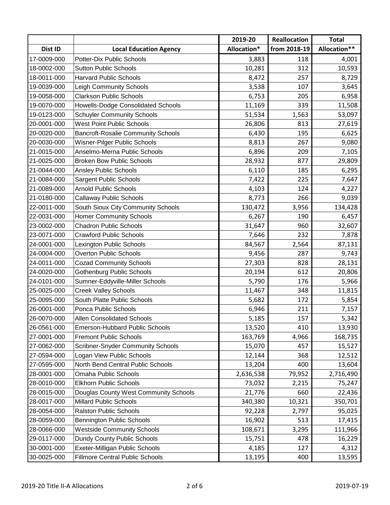|             |                                           | 2019-20     | Reallocation | <b>Total</b> |
|-------------|-------------------------------------------|-------------|--------------|--------------|
| Dist ID     | <b>Local Education Agency</b>             | Allocation* | from 2018-19 | Allocation** |
| 17-0009-000 | Potter-Dix Public Schools                 | 3,883       | 118          | 4,001        |
| 18-0002-000 | <b>Sutton Public Schools</b>              | 10,281      | 312          | 10,593       |
| 18-0011-000 | <b>Harvard Public Schools</b>             | 8,472       | 257          | 8,729        |
| 19-0039-000 | <b>Leigh Community Schools</b>            | 3,538       | 107          | 3,645        |
| 19-0058-000 | <b>Clarkson Public Schools</b>            | 6,753       | 205          | 6,958        |
| 19-0070-000 | <b>Howells-Dodge Consolidated Schools</b> | 11,169      | 339          | 11,508       |
| 19-0123-000 | <b>Schuyler Community Schools</b>         | 51,534      | 1,563        | 53,097       |
| 20-0001-000 | <b>West Point Public Schools</b>          | 26,806      | 813          | 27,619       |
| 20-0020-000 | <b>Bancroft-Rosalie Community Schools</b> | 6,430       | 195          | 6,625        |
| 20-0030-000 | Wisner-Pilger Public Schools              | 8,813       | 267          | 9,080        |
| 21-0015-000 | Anselmo-Merna Public Schools              | 6,896       | 209          | 7,105        |
| 21-0025-000 | <b>Broken Bow Public Schools</b>          | 28,932      | 877          | 29,809       |
| 21-0044-000 | <b>Ansley Public Schools</b>              | 6,110       | 185          | 6,295        |
| 21-0084-000 | <b>Sargent Public Schools</b>             | 7,422       | 225          | 7,647        |
| 21-0089-000 | <b>Arnold Public Schools</b>              | 4,103       | 124          | 4,227        |
| 21-0180-000 | <b>Callaway Public Schools</b>            | 8,773       | 266          | 9,039        |
| 22-0011-000 | South Sioux City Community Schools        | 130,472     | 3,956        | 134,428      |
| 22-0031-000 | <b>Homer Community Schools</b>            | 6,267       | 190          | 6,457        |
| 23-0002-000 | <b>Chadron Public Schools</b>             | 31,647      | 960          | 32,607       |
| 23-0071-000 | <b>Crawford Public Schools</b>            | 7,646       | 232          | 7,878        |
| 24-0001-000 | Lexington Public Schools                  | 84,567      | 2,564        | 87,131       |
| 24-0004-000 | <b>Overton Public Schools</b>             | 9,456       | 287          | 9,743        |
| 24-0011-000 | <b>Cozad Community Schools</b>            | 27,303      | 828          | 28,131       |
| 24-0020-000 | <b>Gothenburg Public Schools</b>          | 20,194      | 612          | 20,806       |
| 24-0101-000 | Sumner-Eddyville-Miller Schools           | 5,790       | 176          | 5,966        |
| 25-0025-000 | <b>Creek Valley Schools</b>               | 11,467      | 348          | 11,815       |
| 25-0095-000 | South Platte Public Schools               | 5,682       | 172          | 5,854        |
| 26-0001-000 | Ponca Public Schools                      | 6,946       | 211          | 7,157        |
| 26-0070-000 | <b>Allen Consolidated Schools</b>         | 5,185       | 157          | 5,342        |
| 26-0561-000 | Emerson-Hubbard Public Schools            | 13,520      | 410          | 13,930       |
| 27-0001-000 | <b>Fremont Public Schools</b>             | 163,769     | 4,966        | 168,735      |
| 27-0062-000 | <b>Scribner-Snyder Community Schools</b>  | 15,070      | 457          | 15,527       |
| 27-0594-000 | Logan View Public Schools                 | 12,144      | 368          | 12,512       |
| 27-0595-000 | North Bend Central Public Schools         | 13,204      | 400          | 13,604       |
| 28-0001-000 | Omaha Public Schools                      | 2,636,538   | 79,952       | 2,716,490    |
| 28-0010-000 | <b>Elkhorn Public Schools</b>             | 73,032      | 2,215        | 75,247       |
| 28-0015-000 | Douglas County West Community Schools     | 21,776      | 660          | 22,436       |
| 28-0017-000 | <b>Millard Public Schools</b>             | 340,380     | 10,321       | 350,701      |
| 28-0054-000 | <b>Ralston Public Schools</b>             | 92,228      | 2,797        | 95,025       |
| 28-0059-000 | <b>Bennington Public Schools</b>          | 16,902      | 513          | 17,415       |
| 28-0066-000 | <b>Westside Community Schools</b>         | 108,671     | 3,295        | 111,966      |
| 29-0117-000 | Dundy County Public Schools               | 15,751      | 478          | 16,229       |
| 30-0001-000 | Exeter-Milligan Public Schools            | 4,185       | 127          | 4,312        |
| 30-0025-000 | <b>Fillmore Central Public Schools</b>    | 13,195      | 400          | 13,595       |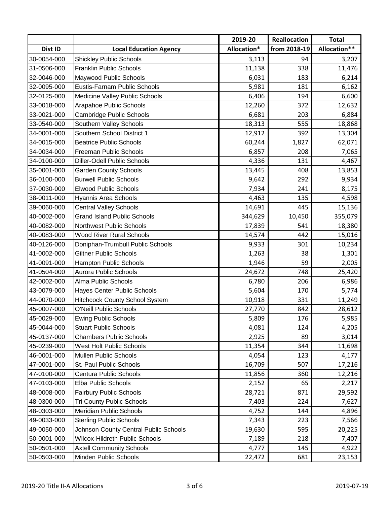|             |                                       | 2019-20     | Reallocation | <b>Total</b> |
|-------------|---------------------------------------|-------------|--------------|--------------|
| Dist ID     | <b>Local Education Agency</b>         | Allocation* | from 2018-19 | Allocation** |
| 30-0054-000 | <b>Shickley Public Schools</b>        | 3,113       | 94           | 3,207        |
| 31-0506-000 | <b>Franklin Public Schools</b>        | 11,138      | 338          | 11,476       |
| 32-0046-000 | Maywood Public Schools                | 6,031       | 183          | 6,214        |
| 32-0095-000 | Eustis-Farnam Public Schools          | 5,981       | 181          | 6,162        |
| 32-0125-000 | Medicine Valley Public Schools        | 6,406       | 194          | 6,600        |
| 33-0018-000 | Arapahoe Public Schools               | 12,260      | 372          | 12,632       |
| 33-0021-000 | Cambridge Public Schools              | 6,681       | 203          | 6,884        |
| 33-0540-000 | Southern Valley Schools               | 18,313      | 555          | 18,868       |
| 34-0001-000 | Southern School District 1            | 12,912      | 392          | 13,304       |
| 34-0015-000 | <b>Beatrice Public Schools</b>        | 60,244      | 1,827        | 62,071       |
| 34-0034-000 | Freeman Public Schools                | 6,857       | 208          | 7,065        |
| 34-0100-000 | <b>Diller-Odell Public Schools</b>    | 4,336       | 131          | 4,467        |
| 35-0001-000 | <b>Garden County Schools</b>          | 13,445      | 408          | 13,853       |
| 36-0100-000 | <b>Burwell Public Schools</b>         | 9,642       | 292          | 9,934        |
| 37-0030-000 | <b>Elwood Public Schools</b>          | 7,934       | 241          | 8,175        |
| 38-0011-000 | Hyannis Area Schools                  | 4,463       | 135          | 4,598        |
| 39-0060-000 | <b>Central Valley Schools</b>         | 14,691      | 445          | 15,136       |
| 40-0002-000 | <b>Grand Island Public Schools</b>    | 344,629     | 10,450       | 355,079      |
| 40-0082-000 | <b>Northwest Public Schools</b>       | 17,839      | 541          | 18,380       |
| 40-0083-000 | <b>Wood River Rural Schools</b>       | 14,574      | 442          | 15,016       |
| 40-0126-000 | Doniphan-Trumbull Public Schools      | 9,933       | 301          | 10,234       |
| 41-0002-000 | <b>Giltner Public Schools</b>         | 1,263       | 38           | 1,301        |
| 41-0091-000 | Hampton Public Schools                | 1,946       | 59           | 2,005        |
| 41-0504-000 | <b>Aurora Public Schools</b>          | 24,672      | 748          | 25,420       |
| 42-0002-000 | <b>Alma Public Schools</b>            | 6,780       | 206          | 6,986        |
| 43-0079-000 | Hayes Center Public Schools           | 5,604       | 170          | 5,774        |
| 44-0070-000 | <b>Hitchcock County School System</b> | 10,918      | 331          | 11,249       |
| 45-0007-000 | <b>O'Neill Public Schools</b>         | 27,770      | 842          | 28,612       |
| 45-0029-000 | <b>Ewing Public Schools</b>           | 5,809       | 176          | 5,985        |
| 45-0044-000 | <b>Stuart Public Schools</b>          | 4,081       | 124          | 4,205        |
| 45-0137-000 | <b>Chambers Public Schools</b>        | 2,925       | 89           | 3,014        |
| 45-0239-000 | West Holt Public Schools              | 11,354      | 344          | 11,698       |
| 46-0001-000 | <b>Mullen Public Schools</b>          | 4,054       | 123          | 4,177        |
| 47-0001-000 | St. Paul Public Schools               | 16,709      | 507          | 17,216       |
| 47-0100-000 | Centura Public Schools                | 11,856      | 360          | 12,216       |
| 47-0103-000 | Elba Public Schools                   | 2,152       | 65           | 2,217        |
| 48-0008-000 | <b>Fairbury Public Schools</b>        | 28,721      | 871          | 29,592       |
| 48-0300-000 | <b>Tri County Public Schools</b>      | 7,403       | 224          | 7,627        |
| 48-0303-000 | Meridian Public Schools               | 4,752       | 144          | 4,896        |
| 49-0033-000 | <b>Sterling Public Schools</b>        | 7,343       | 223          | 7,566        |
| 49-0050-000 | Johnson County Central Public Schools | 19,630      | 595          | 20,225       |
| 50-0001-000 | Wilcox-Hildreth Public Schools        | 7,189       | 218          | 7,407        |
| 50-0501-000 | <b>Axtell Community Schools</b>       | 4,777       | 145          | 4,922        |
| 50-0503-000 | Minden Public Schools                 | 22,472      | 681          | 23,153       |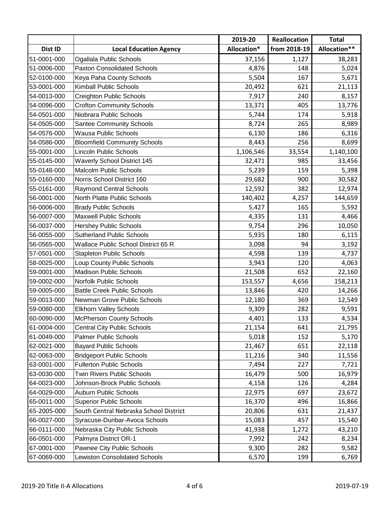|             |                                        | 2019-20     | Reallocation | <b>Total</b> |
|-------------|----------------------------------------|-------------|--------------|--------------|
| Dist ID     | <b>Local Education Agency</b>          | Allocation* | from 2018-19 | Allocation** |
| 51-0001-000 | Ogallala Public Schools                | 37,156      | 1,127        | 38,283       |
| 51-0006-000 | <b>Paxton Consolidated Schools</b>     | 4,876       | 148          | 5,024        |
| 52-0100-000 | Keya Paha County Schools               | 5,504       | 167          | 5,671        |
| 53-0001-000 | <b>Kimball Public Schools</b>          | 20,492      | 621          | 21,113       |
| 54-0013-000 | <b>Creighton Public Schools</b>        | 7,917       | 240          | 8,157        |
| 54-0096-000 | <b>Crofton Community Schools</b>       | 13,371      | 405          | 13,776       |
| 54-0501-000 | Niobrara Public Schools                | 5,744       | 174          | 5,918        |
| 54-0505-000 | <b>Santee Community Schools</b>        | 8,724       | 265          | 8,989        |
| 54-0576-000 | <b>Wausa Public Schools</b>            | 6,130       | 186          | 6,316        |
| 54-0586-000 | <b>Bloomfield Community Schools</b>    | 8,443       | 256          | 8,699        |
| 55-0001-000 | <b>Lincoln Public Schools</b>          | 1,106,546   | 33,554       | 1,140,100    |
| 55-0145-000 | <b>Waverly School District 145</b>     | 32,471      | 985          | 33,456       |
| 55-0148-000 | <b>Malcolm Public Schools</b>          | 5,239       | 159          | 5,398        |
| 55-0160-000 | Norris School District 160             | 29,682      | 900          | 30,582       |
| 55-0161-000 | <b>Raymond Central Schools</b>         | 12,592      | 382          | 12,974       |
| 56-0001-000 | North Platte Public Schools            | 140,402     | 4,257        | 144,659      |
| 56-0006-000 | <b>Brady Public Schools</b>            | 5,427       | 165          | 5,592        |
| 56-0007-000 | <b>Maxwell Public Schools</b>          | 4,335       | 131          | 4,466        |
| 56-0037-000 | <b>Hershey Public Schools</b>          | 9,754       | 296          | 10,050       |
| 56-0055-000 | <b>Sutherland Public Schools</b>       | 5,935       | 180          | 6,115        |
| 56-0565-000 | Wallace Public School District 65 R    | 3,098       | 94           | 3,192        |
| 57-0501-000 | <b>Stapleton Public Schools</b>        | 4,598       | 139          | 4,737        |
| 58-0025-000 | Loup County Public Schools             | 3,943       | 120          | 4,063        |
| 59-0001-000 | <b>Madison Public Schools</b>          | 21,508      | 652          | 22,160       |
| 59-0002-000 | <b>Norfolk Public Schools</b>          | 153,557     | 4,656        | 158,213      |
| 59-0005-000 | <b>Battle Creek Public Schools</b>     | 13,846      | 420          | 14,266       |
| 59-0013-000 | Newman Grove Public Schools            | 12,180      | 369          | 12,549       |
| 59-0080-000 | <b>Elkhorn Valley Schools</b>          | 9,309       | 282          | 9,591        |
| 60-0090-000 | <b>McPherson County Schools</b>        | 4,401       | 133          | 4,534        |
| 61-0004-000 | <b>Central City Public Schools</b>     | 21,154      | 641          | 21,795       |
| 61-0049-000 | <b>Palmer Public Schools</b>           | 5,018       | 152          | 5,170        |
| 62-0021-000 | <b>Bayard Public Schools</b>           | 21,467      | 651          | 22,118       |
| 62-0063-000 | <b>Bridgeport Public Schools</b>       | 11,216      | 340          | 11,556       |
| 63-0001-000 | <b>Fullerton Public Schools</b>        | 7,494       | 227          | 7,721        |
| 63-0030-000 | <b>Twin Rivers Public Schools</b>      | 16,479      | 500          | 16,979       |
| 64-0023-000 | Johnson-Brock Public Schools           | 4,158       | 126          | 4,284        |
| 64-0029-000 | <b>Auburn Public Schools</b>           | 22,975      | 697          | 23,672       |
| 65-0011-000 | <b>Superior Public Schools</b>         | 16,370      | 496          | 16,866       |
| 65-2005-000 | South Central Nebraska School District | 20,806      | 631          | 21,437       |
| 66-0027-000 | Syracuse-Dunbar-Avoca Schools          | 15,083      | 457          | 15,540       |
| 66-0111-000 | Nebraska City Public Schools           | 41,938      | 1,272        | 43,210       |
| 66-0501-000 | Palmyra District OR-1                  | 7,992       | 242          | 8,234        |
| 67-0001-000 | Pawnee City Public Schools             | 9,300       | 282          | 9,582        |
| 67-0069-000 | <b>Lewiston Consolidated Schools</b>   | 6,570       | 199          | 6,769        |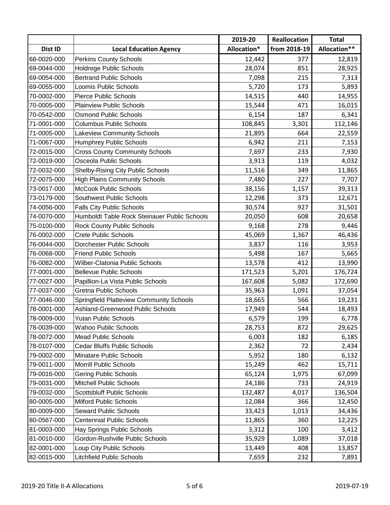|             |                                              | 2019-20     | Reallocation | <b>Total</b> |
|-------------|----------------------------------------------|-------------|--------------|--------------|
| Dist ID     | <b>Local Education Agency</b>                | Allocation* | from 2018-19 | Allocation** |
| 68-0020-000 | <b>Perkins County Schools</b>                | 12,442      | 377          | 12,819       |
| 69-0044-000 | <b>Holdrege Public Schools</b>               | 28,074      | 851          | 28,925       |
| 69-0054-000 | <b>Bertrand Public Schools</b>               | 7,098       | 215          | 7,313        |
| 69-0055-000 | Loomis Public Schools                        | 5,720       | 173          | 5,893        |
| 70-0002-000 | <b>Pierce Public Schools</b>                 | 14,515      | 440          | 14,955       |
| 70-0005-000 | <b>Plainview Public Schools</b>              | 15,544      | 471          | 16,015       |
| 70-0542-000 | <b>Osmond Public Schools</b>                 | 6,154       | 187          | 6,341        |
| 71-0001-000 | <b>Columbus Public Schools</b>               | 108,845     | 3,301        | 112,146      |
| 71-0005-000 | <b>Lakeview Community Schools</b>            | 21,895      | 664          | 22,559       |
| 71-0067-000 | <b>Humphrey Public Schools</b>               | 6,942       | 211          | 7,153        |
| 72-0015-000 | <b>Cross County Community Schools</b>        | 7,697       | 233          | 7,930        |
| 72-0019-000 | Osceola Public Schools                       | 3,913       | 119          | 4,032        |
| 72-0032-000 | <b>Shelby-Rising City Public Schools</b>     | 11,516      | 349          | 11,865       |
| 72-0075-000 | <b>High Plains Community Schools</b>         | 7,480       | 227          | 7,707        |
| 73-0017-000 | <b>McCook Public Schools</b>                 | 38,156      | 1,157        | 39,313       |
| 73-0179-000 | Southwest Public Schools                     | 12,298      | 373          | 12,671       |
| 74-0056-000 | <b>Falls City Public Schools</b>             | 30,574      | 927          | 31,501       |
| 74-0070-000 | Humboldt Table Rock Steinauer Public Schools | 20,050      | 608          | 20,658       |
| 75-0100-000 | <b>Rock County Public Schools</b>            | 9,168       | 278          | 9,446        |
| 76-0002-000 | <b>Crete Public Schools</b>                  | 45,069      | 1,367        | 46,436       |
| 76-0044-000 | <b>Dorchester Public Schools</b>             | 3,837       | 116          | 3,953        |
| 76-0068-000 | <b>Friend Public Schools</b>                 | 5,498       | 167          | 5,665        |
| 76-0082-000 | Wilber-Clatonia Public Schools               | 13,578      | 412          | 13,990       |
| 77-0001-000 | <b>Bellevue Public Schools</b>               | 171,523     | 5,201        | 176,724      |
| 77-0027-000 | Papillion-La Vista Public Schools            | 167,608     | 5,082        | 172,690      |
| 77-0037-000 | <b>Gretna Public Schools</b>                 | 35,963      | 1,091        | 37,054       |
| 77-0046-000 | Springfield Platteview Community Schools     | 18,665      | 566          | 19,231       |
| 78-0001-000 | Ashland-Greenwood Public Schools             | 17,949      | 544          | 18,493       |
| 78-0009-000 | Yutan Public Schools                         | 6,579       | 199          | 6,778        |
| 78-0039-000 | <b>Wahoo Public Schools</b>                  | 28,753      | 872          | 29,625       |
| 78-0072-000 | <b>Mead Public Schools</b>                   | 6,003       | 182          | 6,185        |
| 78-0107-000 | <b>Cedar Bluffs Public Schools</b>           | 2,362       | 72           | 2,434        |
| 79-0002-000 | <b>Minatare Public Schools</b>               | 5,952       | 180          | 6,132        |
| 79-0011-000 | Morrill Public Schools                       | 15,249      | 462          | 15,711       |
| 79-0016-000 | <b>Gering Public Schools</b>                 | 65,124      | 1,975        | 67,099       |
| 79-0031-000 | <b>Mitchell Public Schools</b>               | 24,186      | 733          | 24,919       |
| 79-0032-000 | <b>Scottsbluff Public Schools</b>            | 132,487     | 4,017        | 136,504      |
| 80-0005-000 | <b>Milford Public Schools</b>                | 12,084      | 366          | 12,450       |
| 80-0009-000 | <b>Seward Public Schools</b>                 | 33,423      | 1,013        | 34,436       |
| 80-0567-000 | <b>Centennial Public Schools</b>             | 11,865      | 360          | 12,225       |
| 81-0003-000 | Hay Springs Public Schools                   | 3,312       | 100          | 3,412        |
| 81-0010-000 | Gordon-Rushville Public Schools              | 35,929      | 1,089        | 37,018       |
| 82-0001-000 | Loup City Public Schools                     | 13,449      | 408          | 13,857       |
| 82-0015-000 | <b>Litchfield Public Schools</b>             | 7,659       | 232          | 7,891        |